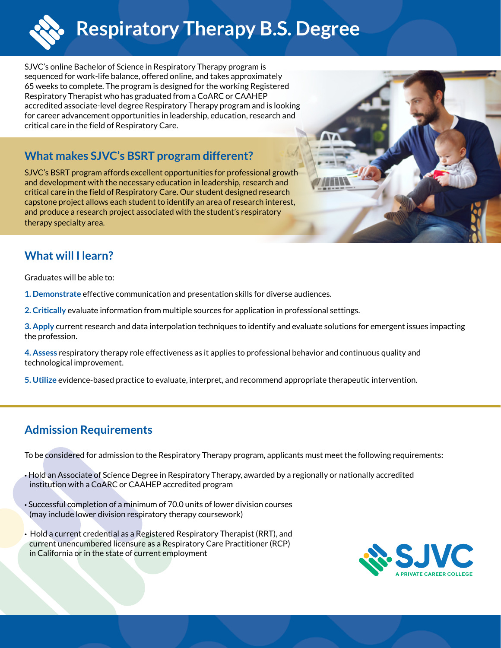

SJVC's online Bachelor of Science in Respiratory Therapy program is sequenced for work-life balance, offered online, and takes approximately 65 weeks to complete. The program is designed for the working Registered Respiratory Therapist who has graduated from a CoARC or CAAHEP accredited associate-level degree Respiratory Therapy program and is looking for career advancement opportunities in leadership, education, research and critical care in the field of Respiratory Care.

## **What makes SJVC's BSRT program different?**

SJVC's BSRT program affords excellent opportunities for professional growth and development with the necessary education in leadership, research and critical care in the field of Respiratory Care. Our student designed research capstone project allows each student to identify an area of research interest, and produce a research project associated with the student's respiratory therapy specialty area.

# **What will I learn?**

Graduates will be able to:

- **1. Demonstrate** effective communication and presentation skills for diverse audiences.
- **2. Critically** evaluate information from multiple sources for application in professional settings.
- **3. Apply** current research and data interpolation techniques to identify and evaluate solutions for emergent issues impacting the profession.
- **4. Assess** respiratory therapy role effectiveness as it applies to professional behavior and continuous quality and technological improvement.
- **5. Utilize** evidence-based practice to evaluate, interpret, and recommend appropriate therapeutic intervention.

## **Admission Requirements**

To be considered for admission to the Respiratory Therapy program, applicants must meet the following requirements:

- Hold an Associate of Science Degree in Respiratory Therapy, awarded by a regionally or nationally accredited institution with a CoARC or CAAHEP accredited program
- Successful completion of a minimum of 70.0 units of lower division courses (may include lower division respiratory therapy coursework)
- Hold a current credential as a Registered Respiratory Therapist (RRT), and current unencumbered licensure as a Respiratory Care Practitioner (RCP) in California or in the state of current employment